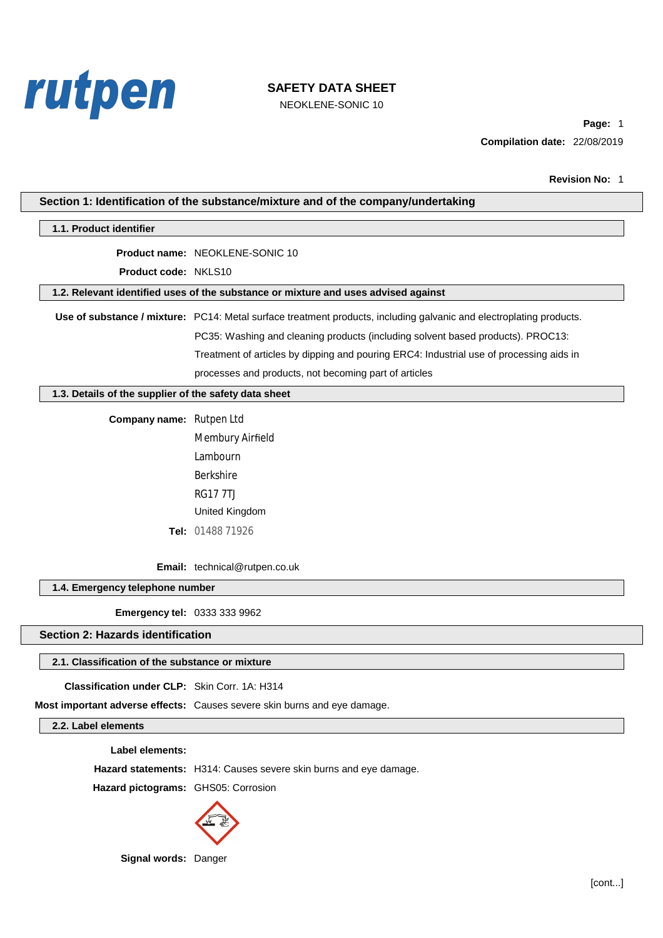

NEOKLENE-SONIC 10

Page: 1 Compilation date: 22/08/2019

| Section 1: Identification of the substance/mixture and of the company/undertaking |                                                                                                                     |  |
|-----------------------------------------------------------------------------------|---------------------------------------------------------------------------------------------------------------------|--|
| 1.1. Product identifier                                                           |                                                                                                                     |  |
|                                                                                   | Product name: NEOKLENE-SONIC 10                                                                                     |  |
| Product code: NKLS10                                                              |                                                                                                                     |  |
|                                                                                   | 1.2. Relevant identified uses of the substance or mixture and uses advised against                                  |  |
|                                                                                   | Use of substance / mixture: PC14: Metal surface treatment products, including galvanic and electroplating products. |  |
|                                                                                   | PC35: Washing and cleaning products (including solvent based products). PROC13:                                     |  |
|                                                                                   | Treatment of articles by dipping and pouring ERC4: Industrial use of processing aids in                             |  |
|                                                                                   | processes and products, not becoming part of articles                                                               |  |
| 1.3. Details of the supplier of the safety data sheet                             |                                                                                                                     |  |
| Company name: Rutpen Ltd                                                          |                                                                                                                     |  |
|                                                                                   | <b>Membury Airfield</b>                                                                                             |  |
|                                                                                   | <b>Lambourn</b>                                                                                                     |  |
|                                                                                   | <b>Berkshire</b>                                                                                                    |  |
|                                                                                   | <b>RG177TJ</b>                                                                                                      |  |
|                                                                                   | United Kingdom                                                                                                      |  |
|                                                                                   | Tel: 01488 71926                                                                                                    |  |
|                                                                                   | Email: technical@rutpen.co.uk                                                                                       |  |
| 1.4. Emergency telephone number                                                   |                                                                                                                     |  |
| Emergency tel: 0333 333 9962                                                      |                                                                                                                     |  |
| <b>Section 2: Hazards identification</b>                                          |                                                                                                                     |  |
| 2.1. Classification of the substance or mixture                                   |                                                                                                                     |  |
| <b>Classification under CLP:</b> Skin Corr. 1A: H314                              |                                                                                                                     |  |
|                                                                                   | Most important adverse effects: Causes severe skin burns and eye damage.                                            |  |
| 2.2. Label elements                                                               |                                                                                                                     |  |
| <b>Label elements:</b>                                                            |                                                                                                                     |  |
|                                                                                   | Hazard statements: H314: Causes severe skin burns and eye damage.                                                   |  |
| Hazard pictograms: GHS05: Corrosion                                               |                                                                                                                     |  |
|                                                                                   |                                                                                                                     |  |



Signal words: Danger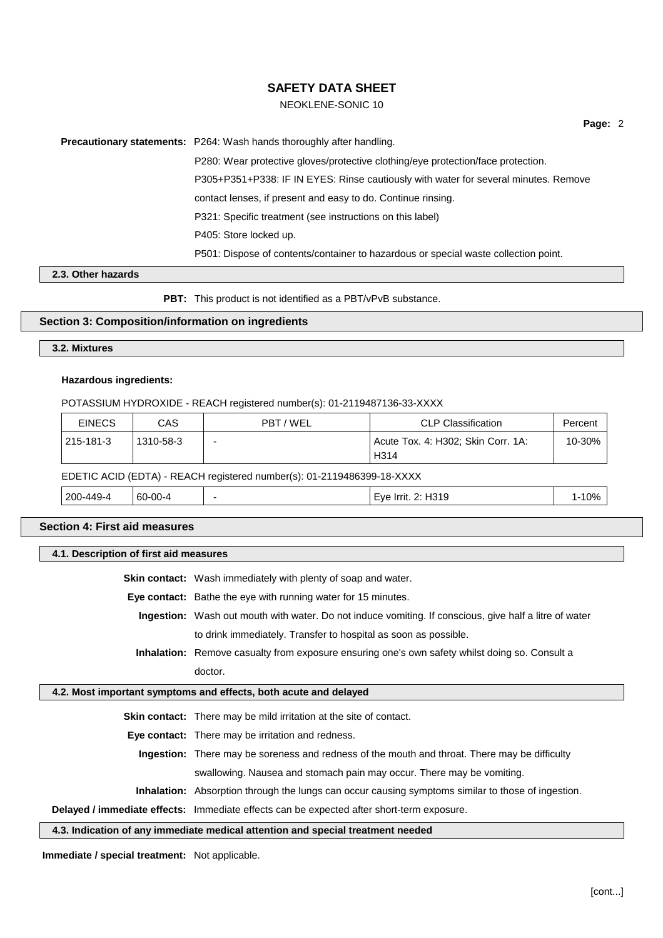## NEOKLENE-SONIC 10

Page: 2

Precautionary statements: P264: Wash hands thoroughly after handling.

P280: Wear protective gloves/protective clothing/eye protection/face protection. P305+P351+P338: IF IN EYES: Rinse cautiously with water for several minutes. Remove contact lenses, if present and easy to do. Continue rinsing. P321: Specific treatment (see instructions on this label) P405: Store locked up. P501: Dispose of contents/container to hazardous or special waste collection point.

### 2.3. Other hazards

PBT: This product is not identified as a PBT/vPvB substance.

## Section 3: Composition/information on ingredients

### 3.2. Mixtures

### **Hazardous ingredients:**

#### POTASSIUM HYDROXIDE - REACH registered number(s): 01-2119487136-33-XXXX

| <b>EINECS</b>                                                          | CAS       | PBT/WEL | <b>CLP Classification</b>                  | Percent    |  |
|------------------------------------------------------------------------|-----------|---------|--------------------------------------------|------------|--|
| 215-181-3                                                              | 1310-58-3 |         | Acute Tox. 4: H302; Skin Corr. 1A:<br>H314 | $10 - 30%$ |  |
| EDETIC ACID (EDTA) - REACH registered number(s): 01-2119486399-18-XXXX |           |         |                                            |            |  |
| 200-449-4                                                              | 60-00-4   |         | Eye Irrit. 2: H319                         | 1-10%      |  |

### **Section 4: First aid measures**

## 4.1. Description of first aid measures

Skin contact: Wash immediately with plenty of soap and water.

Eye contact: Bathe the eye with running water for 15 minutes.

Ingestion: Wash out mouth with water. Do not induce vomiting. If conscious, give half a litre of water to drink immediately. Transfer to hospital as soon as possible.

Inhalation: Remove casualty from exposure ensuring one's own safety whilst doing so. Consult a doctor

## 4.2. Most important symptoms and effects, both acute and delayed

Skin contact: There may be mild irritation at the site of contact.

Eye contact: There may be irritation and redness.

Ingestion: There may be soreness and redness of the mouth and throat. There may be difficulty

swallowing. Nausea and stomach pain may occur. There may be vomiting.

Inhalation: Absorption through the lungs can occur causing symptoms similar to those of ingestion.

Delayed / immediate effects: Immediate effects can be expected after short-term exposure.

### 4.3. Indication of any immediate medical attention and special treatment needed

Immediate / special treatment: Not applicable.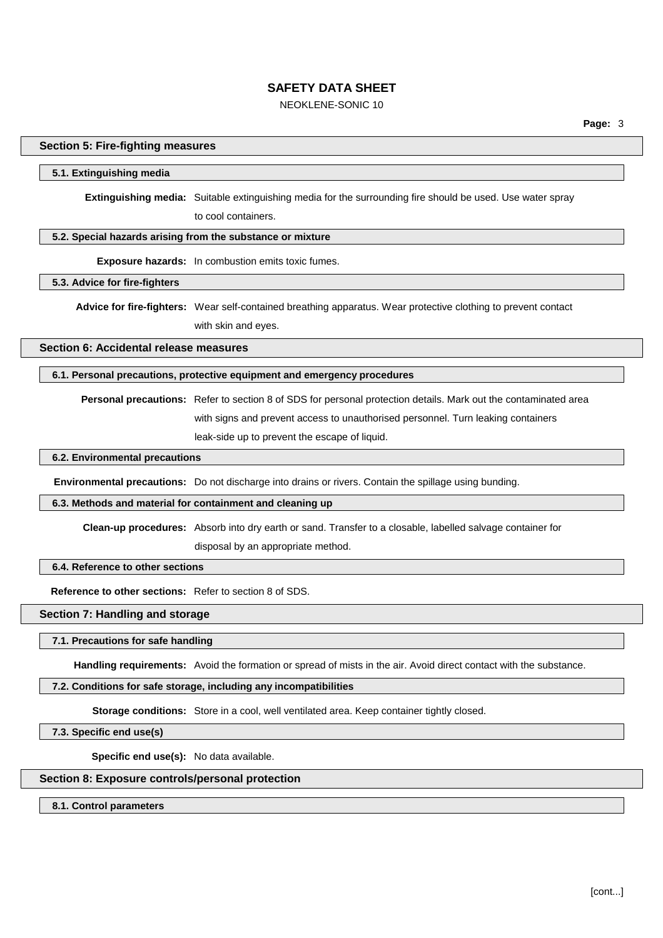## NEOKLENE-SONIC 10

### **Section 5: Fire-fighting measures**

#### 5.1. Extinguishing media

Extinguishing media: Suitable extinguishing media for the surrounding fire should be used. Use water spray to cool containers.

### 5.2. Special hazards arising from the substance or mixture

**Exposure hazards:** In combustion emits toxic fumes.

## 5.3. Advice for fire-fighters

Advice for fire-fighters: Wear self-contained breathing apparatus. Wear protective clothing to prevent contact with skin and eves.

Section 6: Accidental release measures

## 6.1. Personal precautions, protective equipment and emergency procedures

Personal precautions: Refer to section 8 of SDS for personal protection details. Mark out the contaminated area with signs and prevent access to unauthorised personnel. Turn leaking containers leak-side up to prevent the escape of liquid.

## 6.2. Environmental precautions

Environmental precautions: Do not discharge into drains or rivers. Contain the spillage using bunding.

#### 6.3. Methods and material for containment and cleaning up

Clean-up procedures: Absorb into dry earth or sand. Transfer to a closable, labelled salvage container for disposal by an appropriate method.

## 6.4. Reference to other sections

Reference to other sections: Refer to section 8 of SDS.

## Section 7: Handling and storage

#### 7.1. Precautions for safe handling

Handling requirements: Avoid the formation or spread of mists in the air. Avoid direct contact with the substance.

#### 7.2. Conditions for safe storage, including any incompatibilities

Storage conditions: Store in a cool, well ventilated area. Keep container tightly closed.

7.3. Specific end use(s)

Specific end use(s): No data available.

## Section 8: Exposure controls/personal protection

8.1. Control parameters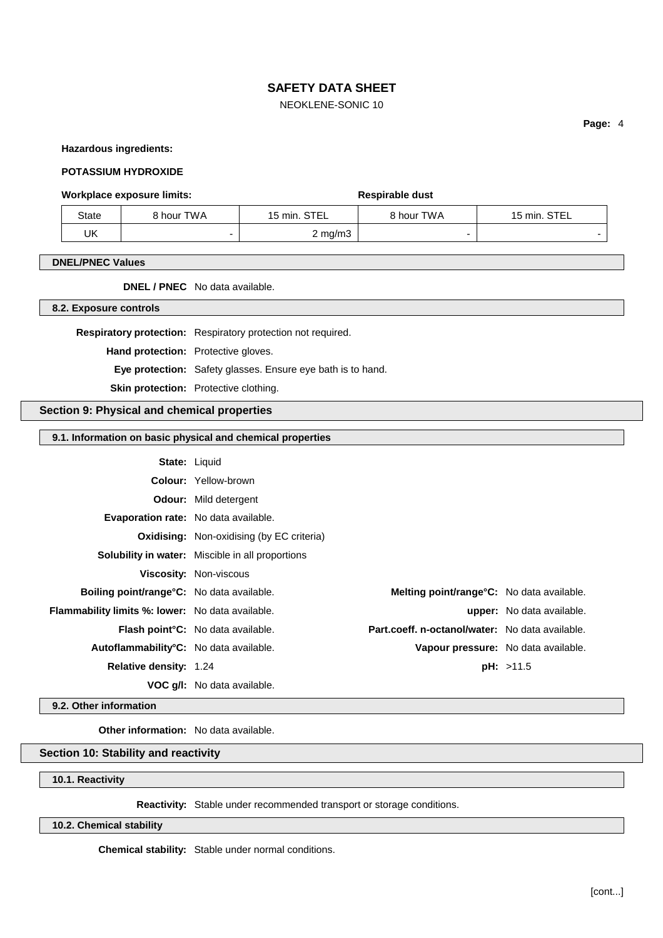## NEOKLENE-SONIC 10

Page: 4

#### **Hazardous ingredients:**

### **POTASSIUM HYDROXIDE**

## **Workplace exposure limits:**

| State | 8 hour TWA | <b>STEL</b><br>$15$ min. | 8 hour TWA | STEL<br>15 min. |
|-------|------------|--------------------------|------------|-----------------|
| UK    |            | $2 \text{ mg/m}$         |            |                 |

Respirable dust

### **DNEL/PNEC Values**

**DNEL / PNEC** No data available.

8.2. Exposure controls

Respiratory protection: Respiratory protection not required.

Hand protection: Protective gloves.

Eye protection: Safety glasses. Ensure eye bath is to hand.

Skin protection: Protective clothing.

## Section 9: Physical and chemical properties

### 9.1. Information on basic physical and chemical properties

| State: | Liquid |  |
|--------|--------|--|
|        |        |  |

|                                                     | <b>Colour:</b> Yellow-brown                             |                                                 |                                  |
|-----------------------------------------------------|---------------------------------------------------------|-------------------------------------------------|----------------------------------|
|                                                     | <b>Odour:</b> Mild detergent                            |                                                 |                                  |
| <b>Evaporation rate:</b> No data available.         |                                                         |                                                 |                                  |
|                                                     | <b>Oxidising:</b> Non-oxidising (by EC criteria)        |                                                 |                                  |
|                                                     | <b>Solubility in water:</b> Miscible in all proportions |                                                 |                                  |
|                                                     | <b>Viscosity: Non-viscous</b>                           |                                                 |                                  |
| Boiling point/range°C: No data available.           |                                                         | Melting point/range°C: No data available.       |                                  |
| Flammability limits %: lower: No data available.    |                                                         |                                                 | <b>upper:</b> No data available. |
|                                                     | <b>Flash point °C:</b> No data available.               | Part.coeff. n-octanol/water: No data available. |                                  |
| Autoflammability <sup>°</sup> C: No data available. |                                                         | Vapour pressure: No data available.             |                                  |
| <b>Relative density: 1.24</b>                       |                                                         |                                                 | pH: >11.5                        |
|                                                     | <b>VOC q/l:</b> No data available.                      |                                                 |                                  |

#### 9.2. Other information

Other information: No data available.

## Section 10: Stability and reactivity

10.1. Reactivity

Reactivity: Stable under recommended transport or storage conditions.

## 10.2. Chemical stability

Chemical stability: Stable under normal conditions.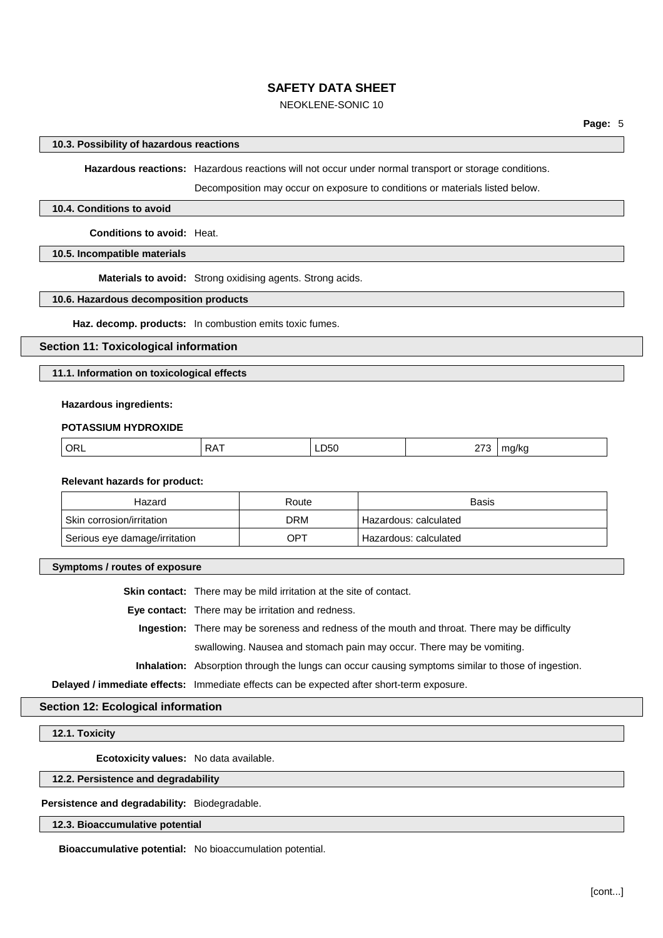## NEOKLENE-SONIC 10

### 10.3. Possibility of hazardous reactions

Hazardous reactions: Hazardous reactions will not occur under normal transport or storage conditions.

Decomposition may occur on exposure to conditions or materials listed below.

### 10.4. Conditions to avoid

**Conditions to avoid: Heat.** 

10.5. Incompatible materials

Materials to avoid: Strong oxidising agents. Strong acids.

## 10.6. Hazardous decomposition products

Haz. decomp. products: In combustion emits toxic fumes.

## **Section 11: Toxicological information**

11.1. Information on toxicological effects

#### **Hazardous ingredients:**

#### **POTASSIUM HYDROXIDE**

| . .<br>___<br>$\sim$ $\sim$ $\sim$ $\sim$ $\sim$ $\sim$ $\sim$<br>$\sim$ |  |  |  | --- |  |
|--------------------------------------------------------------------------|--|--|--|-----|--|
|--------------------------------------------------------------------------|--|--|--|-----|--|

## **Relevant hazards for product:**

| Hazard                        | Route | Basis                   |
|-------------------------------|-------|-------------------------|
| Skin corrosion/irritation     | DRM   | ' Hazardous: calculated |
| Serious eye damage/irritation | OPT   | Hazardous: calculated   |

### Symptoms / routes of exposure

Skin contact: There may be mild irritation at the site of contact.

Eye contact: There may be irritation and redness.

Ingestion: There may be soreness and redness of the mouth and throat. There may be difficulty swallowing. Nausea and stomach pain may occur. There may be vomiting.

Inhalation: Absorption through the lungs can occur causing symptoms similar to those of ingestion.

Delayed / immediate effects: Immediate effects can be expected after short-term exposure.

## **Section 12: Ecological information**

#### 12.1. Toxicity

Ecotoxicity values: No data available.

## 12.2. Persistence and degradability

#### Persistence and degradability: Biodegradable.

### 12.3. Bioaccumulative potential

Bioaccumulative potential: No bioaccumulation potential.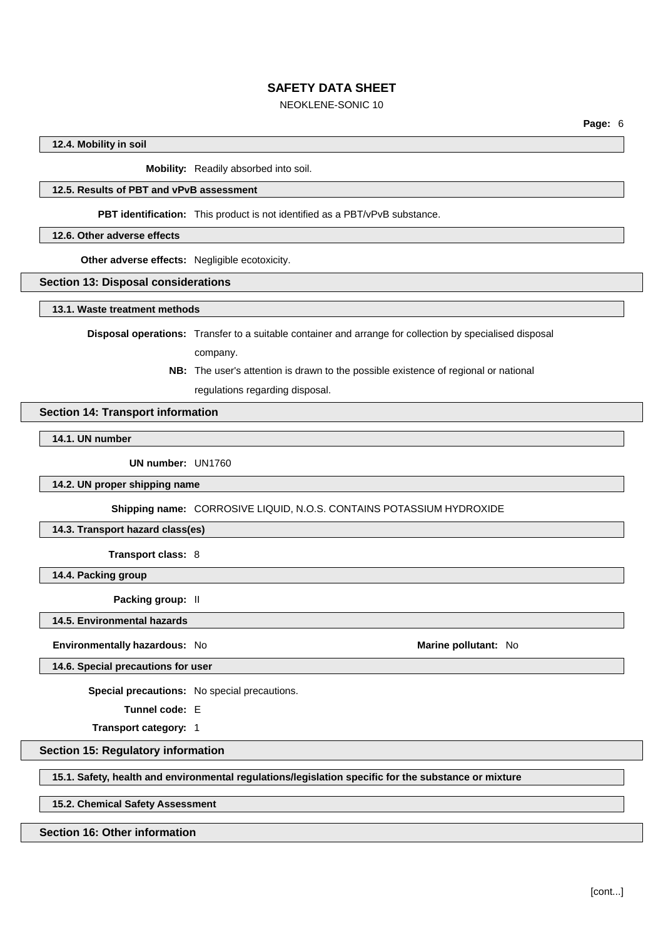## NEOKLENE-SONIC 10

12.4. Mobility in soil

Mobility: Readily absorbed into soil.

## 12.5. Results of PBT and vPvB assessment

PBT identification: This product is not identified as a PBT/vPvB substance.

12.6. Other adverse effects

Other adverse effects: Negligible ecotoxicity.

### **Section 13: Disposal considerations**

13.1. Waste treatment methods

Disposal operations: Transfer to a suitable container and arrange for collection by specialised disposal company.

> NB: The user's attention is drawn to the possible existence of regional or national regulations regarding disposal.

### **Section 14: Transport information**

## 14.1. UN number

UN number: UN1760

14.2. UN proper shipping name

Shipping name: CORROSIVE LIQUID, N.O.S. CONTAINS POTASSIUM HYDROXIDE

## 14.3. Transport hazard class(es)

Transport class: 8

14.4. Packing group

Packing group: II

14.5. Environmental hazards

Environmentally hazardous: No

Marine pollutant: No

14.6. Special precautions for user

Special precautions: No special precautions.

Tunnel code: E

Transport category: 1

## **Section 15: Regulatory information**

15.1. Safety, health and environmental regulations/legislation specific for the substance or mixture

15.2. Chemical Safety Assessment

### Section 16: Other information